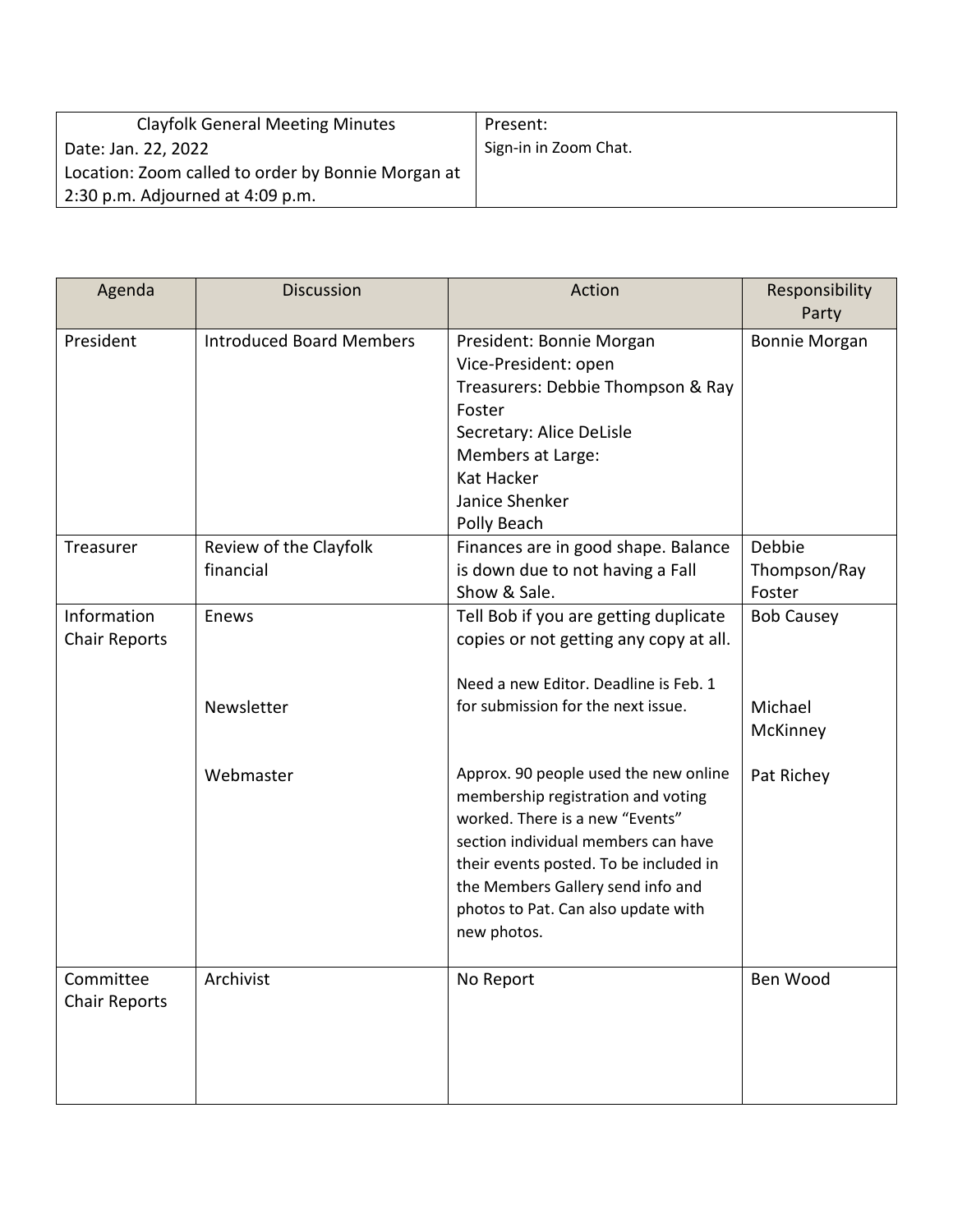| <b>Clayfolk General Meeting Minutes</b>            | Present:              |
|----------------------------------------------------|-----------------------|
| Date: Jan. 22, 2022                                | Sign-in in Zoom Chat. |
| Location: Zoom called to order by Bonnie Morgan at |                       |
| 2:30 p.m. Adjourned at 4:09 p.m.                   |                       |

| Agenda                              | <b>Discussion</b>                   | Action                                                                                                                                                                                                                                                                                     | Responsibility<br>Party          |
|-------------------------------------|-------------------------------------|--------------------------------------------------------------------------------------------------------------------------------------------------------------------------------------------------------------------------------------------------------------------------------------------|----------------------------------|
| President                           | <b>Introduced Board Members</b>     | President: Bonnie Morgan<br>Vice-President: open<br>Treasurers: Debbie Thompson & Ray<br>Foster<br>Secretary: Alice DeLisle<br>Members at Large:<br>Kat Hacker<br>Janice Shenker<br>Polly Beach                                                                                            | <b>Bonnie Morgan</b>             |
| Treasurer                           | Review of the Clayfolk<br>financial | Finances are in good shape. Balance<br>is down due to not having a Fall<br>Show & Sale.                                                                                                                                                                                                    | Debbie<br>Thompson/Ray<br>Foster |
| Information<br><b>Chair Reports</b> | Enews                               | Tell Bob if you are getting duplicate<br>copies or not getting any copy at all.<br>Need a new Editor. Deadline is Feb. 1                                                                                                                                                                   | <b>Bob Causey</b>                |
|                                     | Newsletter                          | for submission for the next issue.                                                                                                                                                                                                                                                         | Michael<br>McKinney              |
|                                     | Webmaster                           | Approx. 90 people used the new online<br>membership registration and voting<br>worked. There is a new "Events"<br>section individual members can have<br>their events posted. To be included in<br>the Members Gallery send info and<br>photos to Pat. Can also update with<br>new photos. | Pat Richey                       |
| Committee<br><b>Chair Reports</b>   | Archivist                           | No Report                                                                                                                                                                                                                                                                                  | Ben Wood                         |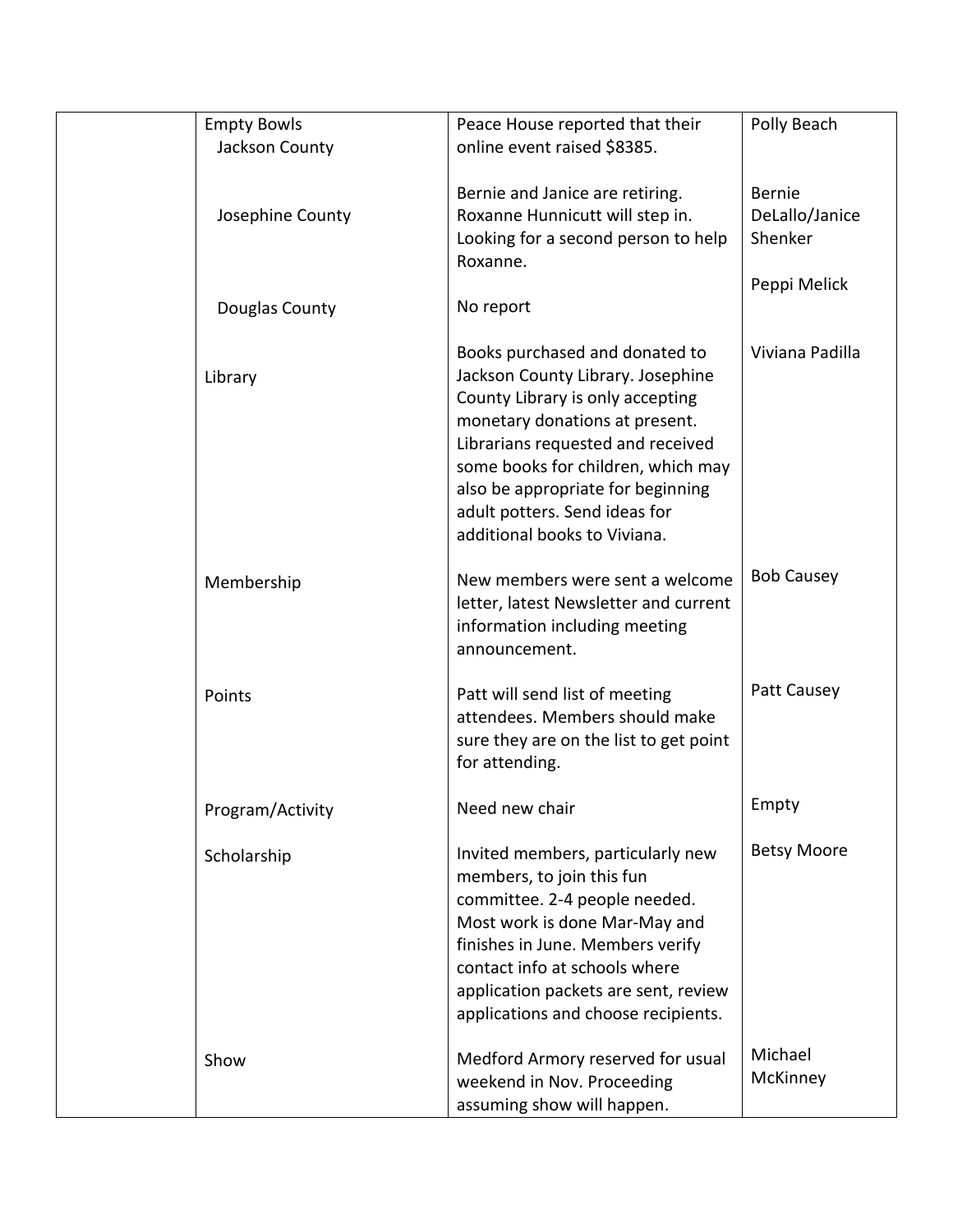|      | <b>Empty Bowls</b>                 | Peace House reported that their                                                                                                                                                                                                                                                                                            | Polly Beach                                                |
|------|------------------------------------|----------------------------------------------------------------------------------------------------------------------------------------------------------------------------------------------------------------------------------------------------------------------------------------------------------------------------|------------------------------------------------------------|
|      | Jackson County                     | online event raised \$8385.                                                                                                                                                                                                                                                                                                |                                                            |
|      | Josephine County<br>Douglas County | Bernie and Janice are retiring.<br>Roxanne Hunnicutt will step in.<br>Looking for a second person to help<br>Roxanne.<br>No report                                                                                                                                                                                         | <b>Bernie</b><br>DeLallo/Janice<br>Shenker<br>Peppi Melick |
|      |                                    |                                                                                                                                                                                                                                                                                                                            |                                                            |
|      | Library                            | Books purchased and donated to<br>Jackson County Library. Josephine<br>County Library is only accepting<br>monetary donations at present.<br>Librarians requested and received<br>some books for children, which may<br>also be appropriate for beginning<br>adult potters. Send ideas for<br>additional books to Viviana. | Viviana Padilla                                            |
|      | Membership                         | New members were sent a welcome<br>letter, latest Newsletter and current<br>information including meeting<br>announcement.                                                                                                                                                                                                 | <b>Bob Causey</b>                                          |
|      | Points                             | Patt will send list of meeting<br>attendees. Members should make<br>sure they are on the list to get point<br>for attending.                                                                                                                                                                                               | Patt Causey                                                |
|      | Program/Activity                   | Need new chair                                                                                                                                                                                                                                                                                                             | Empty                                                      |
|      | Scholarship                        | Invited members, particularly new<br>members, to join this fun<br>committee. 2-4 people needed.<br>Most work is done Mar-May and<br>finishes in June. Members verify<br>contact info at schools where<br>application packets are sent, review<br>applications and choose recipients.                                       | <b>Betsy Moore</b>                                         |
| Show |                                    | Medford Armory reserved for usual<br>weekend in Nov. Proceeding<br>assuming show will happen.                                                                                                                                                                                                                              | Michael<br>McKinney                                        |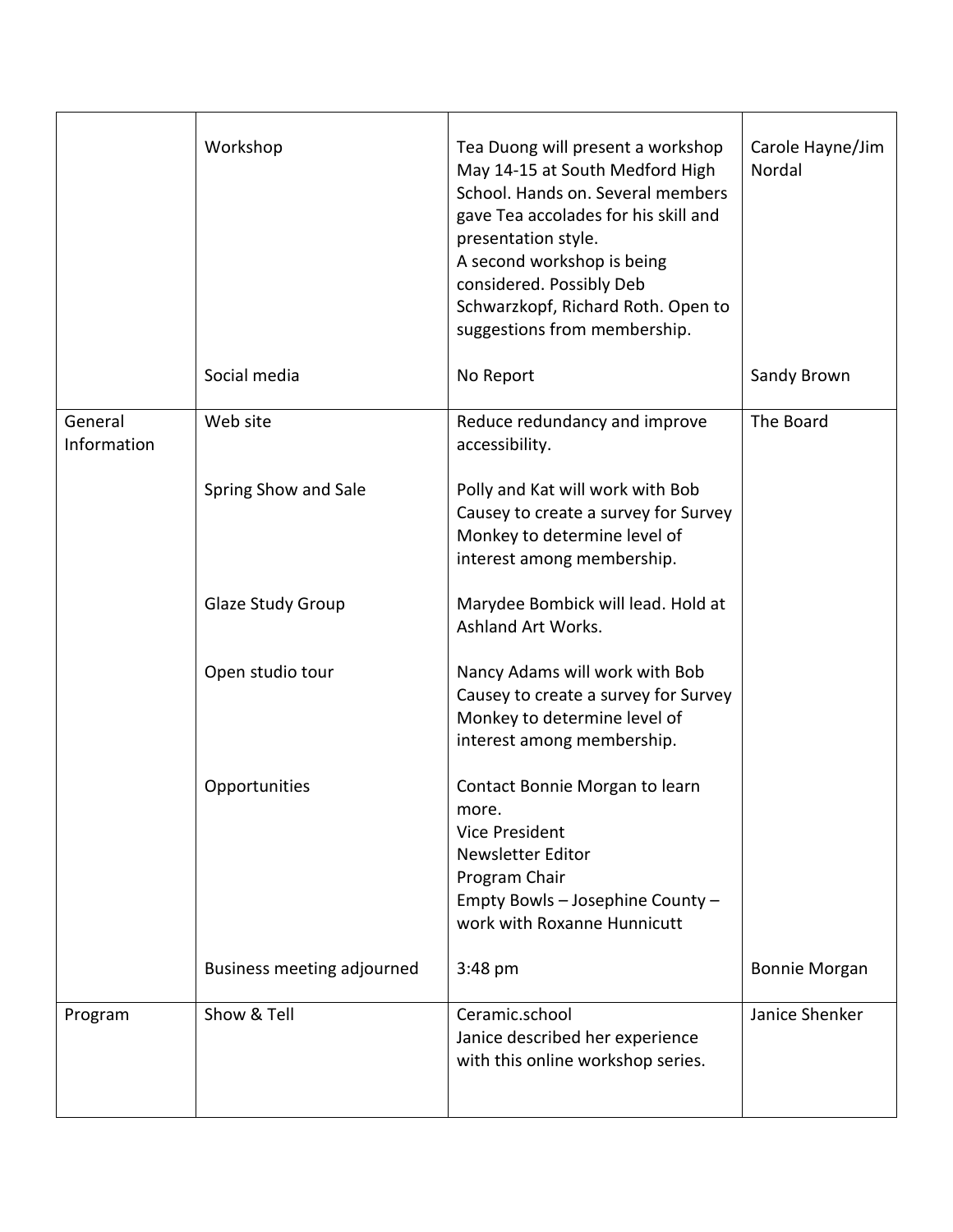|                        | Workshop                   | Tea Duong will present a workshop<br>May 14-15 at South Medford High<br>School. Hands on. Several members<br>gave Tea accolades for his skill and<br>presentation style.<br>A second workshop is being<br>considered. Possibly Deb<br>Schwarzkopf, Richard Roth. Open to<br>suggestions from membership. | Carole Hayne/Jim<br>Nordal |
|------------------------|----------------------------|----------------------------------------------------------------------------------------------------------------------------------------------------------------------------------------------------------------------------------------------------------------------------------------------------------|----------------------------|
|                        | Social media               | No Report                                                                                                                                                                                                                                                                                                | Sandy Brown                |
| General<br>Information | Web site                   | Reduce redundancy and improve<br>accessibility.                                                                                                                                                                                                                                                          | The Board                  |
|                        | Spring Show and Sale       | Polly and Kat will work with Bob<br>Causey to create a survey for Survey<br>Monkey to determine level of<br>interest among membership.                                                                                                                                                                   |                            |
|                        | Glaze Study Group          | Marydee Bombick will lead. Hold at<br>Ashland Art Works.                                                                                                                                                                                                                                                 |                            |
|                        | Open studio tour           | Nancy Adams will work with Bob<br>Causey to create a survey for Survey<br>Monkey to determine level of<br>interest among membership.                                                                                                                                                                     |                            |
|                        | Opportunities              | Contact Bonnie Morgan to learn<br>more.<br><b>Vice President</b><br>Newsletter Editor<br>Program Chair<br>Empty Bowls - Josephine County -<br>work with Roxanne Hunnicutt                                                                                                                                |                            |
|                        | Business meeting adjourned | $3:48$ pm                                                                                                                                                                                                                                                                                                | <b>Bonnie Morgan</b>       |
| Program                | Show & Tell                | Ceramic.school<br>Janice described her experience<br>with this online workshop series.                                                                                                                                                                                                                   | Janice Shenker             |